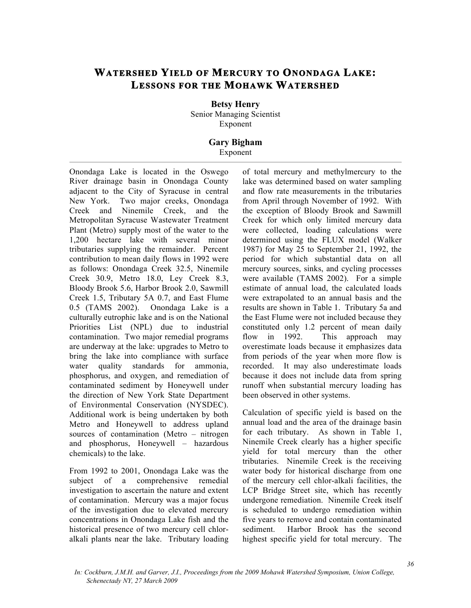## **WATERSHED YIELD OF MERCURY TO ONONDAGA LAKE: LESSONS FOR THE MOHAWK WATERSHED**

**Betsy Henry**  Senior Managing Scientist Exponent

## **Gary Bigham**  Exponent

Onondaga Lake is located in the Oswego River drainage basin in Onondaga County adjacent to the City of Syracuse in central New York. Two major creeks, Onondaga Creek and Ninemile Creek, and the Metropolitan Syracuse Wastewater Treatment Plant (Metro) supply most of the water to the 1,200 hectare lake with several minor tributaries supplying the remainder. Percent contribution to mean daily flows in 1992 were as follows: Onondaga Creek 32.5, Ninemile Creek 30.9, Metro 18.0, Ley Creek 8.3, Bloody Brook 5.6, Harbor Brook 2.0, Sawmill Creek 1.5, Tributary 5A 0.7, and East Flume 0.5 (TAMS 2002). Onondaga Lake is a culturally eutrophic lake and is on the National Priorities List (NPL) due to industrial contamination. Two major remedial programs are underway at the lake: upgrades to Metro to bring the lake into compliance with surface water quality standards for ammonia, phosphorus, and oxygen, and remediation of contaminated sediment by Honeywell under the direction of New York State Department of Environmental Conservation (NYSDEC). Additional work is being undertaken by both Metro and Honeywell to address upland sources of contamination (Metro – nitrogen and phosphorus, Honeywell – hazardous chemicals) to the lake.

From 1992 to 2001, Onondaga Lake was the subject of a comprehensive remedial investigation to ascertain the nature and extent of contamination. Mercury was a major focus of the investigation due to elevated mercury concentrations in Onondaga Lake fish and the historical presence of two mercury cell chloralkali plants near the lake. Tributary loading

of total mercury and methylmercury to the lake was determined based on water sampling and flow rate measurements in the tributaries from April through November of 1992. With the exception of Bloody Brook and Sawmill Creek for which only limited mercury data were collected, loading calculations were determined using the FLUX model (Walker 1987) for May 25 to September 21, 1992, the period for which substantial data on all mercury sources, sinks, and cycling processes were available (TAMS 2002). For a simple estimate of annual load, the calculated loads were extrapolated to an annual basis and the results are shown in Table 1. Tributary 5a and the East Flume were not included because they constituted only 1.2 percent of mean daily flow in 1992. This approach may overestimate loads because it emphasizes data from periods of the year when more flow is recorded. It may also underestimate loads because it does not include data from spring runoff when substantial mercury loading has been observed in other systems.

Calculation of specific yield is based on the annual load and the area of the drainage basin for each tributary. As shown in Table 1, Ninemile Creek clearly has a higher specific yield for total mercury than the other tributaries. Ninemile Creek is the receiving water body for historical discharge from one of the mercury cell chlor-alkali facilities, the LCP Bridge Street site, which has recently undergone remediation. Ninemile Creek itself is scheduled to undergo remediation within five years to remove and contain contaminated sediment. Harbor Brook has the second highest specific yield for total mercury. The